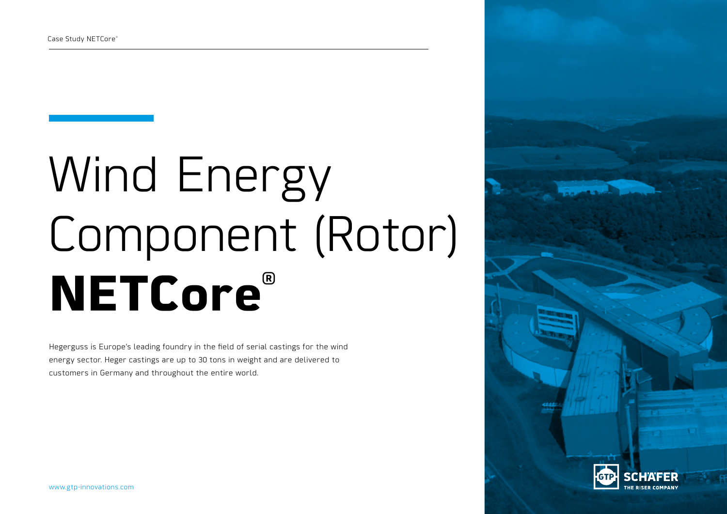# Wind Energy Component (Rotor) **NETCore®**

Hegerguss is Europe's leading foundry in the field of serial castings for the wind energy sector. Heger castings are up to 30 tons in weight and are delivered to customers in Germany and throughout the entire world.

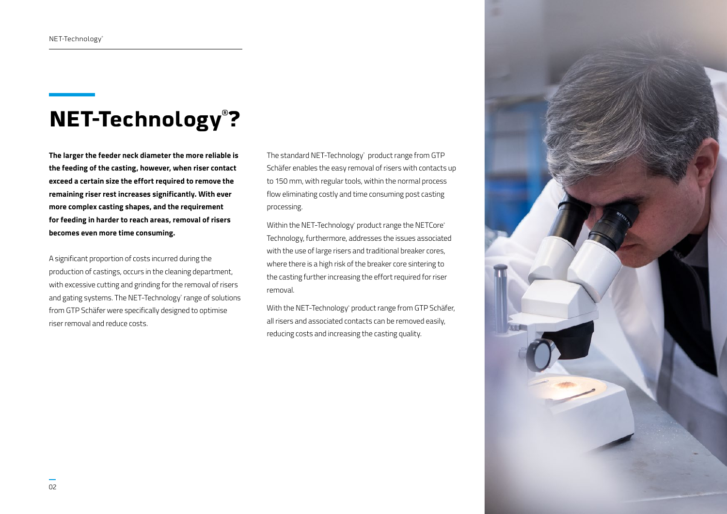# **NET-Technology® ?**

**The larger the feeder neck diameter the more reliable is the feeding of the casting, however, when riser contact exceed a certain size the effort required to remove the remaining riser rest increases significantly. With ever more complex casting shapes, and the requirement for feeding in harder to reach areas, removal of risers becomes even more time consuming.**

A significant proportion of costs incurred during the production of castings, occurs in the cleaning department, with excessive cutting and grinding for the removal of risers and gating systems. The NET-Technology® range of solutions from GTP Schäfer were specifically designed to optimise riser removal and reduce costs.

The standard NET-Technology® product range from GTP Schäfer enables the easy removal of risers with contacts up to 150 mm, with regular tools, within the normal process flow eliminating costly and time consuming post casting processing.

Within the NET-Technology° product range the NETCore® Technology, furthermore, addresses the issues associated with the use of large risers and traditional breaker cores, where there is a high risk of the breaker core sintering to the casting further increasing the effort required for riser removal.

With the NET-Technology® product range from GTP Schäfer, all risers and associated contacts can be removed easily, reducing costs and increasing the casting quality.

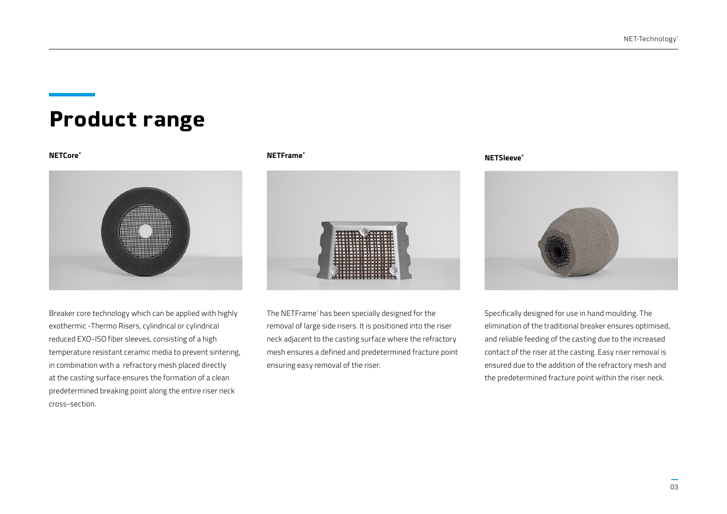# **Product range**



Breaker core technology which can be applied with highly exothermic -Thermo Risers, cylindrical or cylindrical reduced EXO-ISO fiber sleeves, consisting of a high temperature resistant ceramic media to prevent sintering, in combination with a refractory mesh placed directly at the casting surface ensures the formation of a clean predetermined breaking point along the entire riser neck cross-section.

### **NETCore® NETFrame®**



The NETFrame® has been specially designed for the removal of large side risers. It is positioned into the riser neck adjacent to the casting surface where the refractory mesh ensures a defined and predetermined fracture point ensuring easy removal of the riser.

### **NETSleeve®**



Specifically designed for use in hand moulding. The elimination of the traditional breaker ensures optimised, and reliable feeding of the casting due to the increased contact of the riser at the casting. Easy riser removal is ensured due to the addition of the refractory mesh and the predetermined fracture point within the riser neck.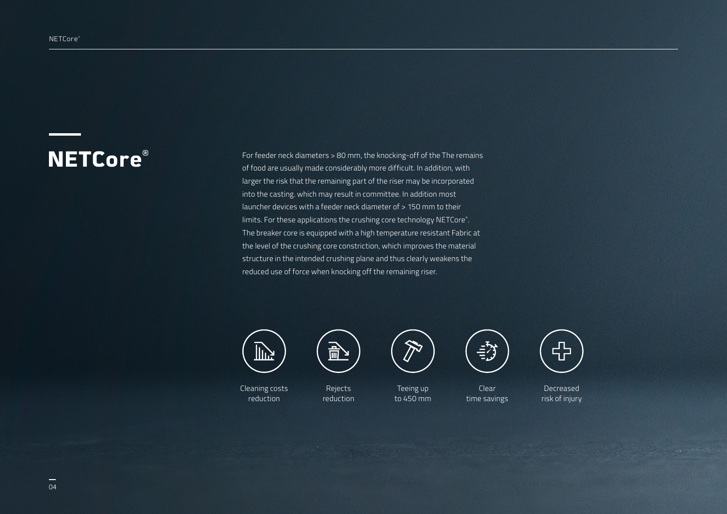**NETCOre**<sup>®</sup> For feeder neck diameters > 80 mm, the knocking-off of the The remains of food are usually made considerably more difficult. In addition, with larger the risk that the remaining part of the riser may be incorporated into the casting. which may result in committee. In addition most launcher devices with a feeder neck diameter of > 150 mm to their limits. For these applications the crushing core technology NETCore® . The breaker core is equipped with a high temperature resistant Fabric at the level of the crushing core constriction, which improves the material structure in the intended crushing plane and thus clearly weakens the reduced use of force when knocking off the remaining riser.



Cleaning costs reduction



Rejects reduction

 $\sqrt{450}$ Teeing up

 $\mathcal{N}$ 

to 450 mm



 $\Xi$  /  $\gamma$ ر س- )

**Clear** 

Decreased risk of injury

Decreased  $\sqrt{2}$ 

time savings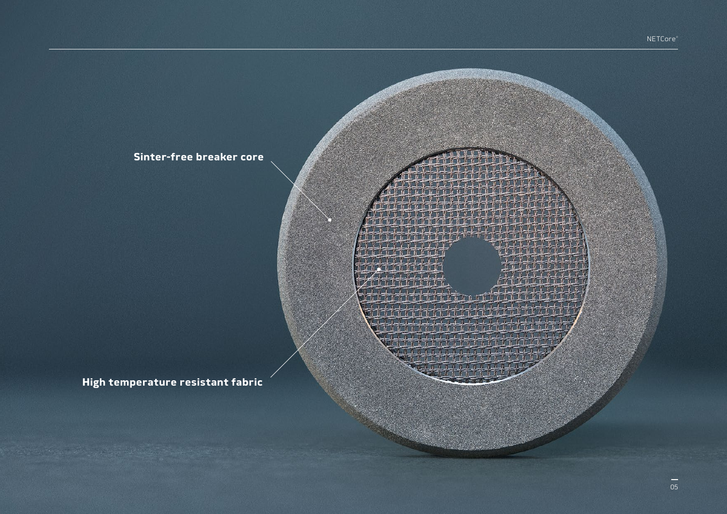**Sinter-free breaker core**

**High temperature resistant fabric**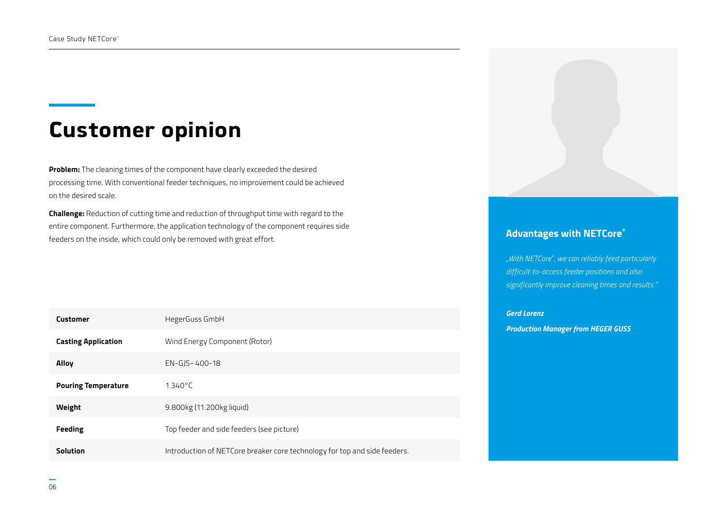# **Customer opinion**

**Problem:** The cleaning times of the component have clearly exceeded the desired processing time. With conventional feeder techniques, no improvement could be achieved on the desired scale.

**Challenge:** Reduction of cutting time and reduction of throughput time with regard to the entire component. Furthermore, the application technology of the component requires side feeders on the inside, which could only be removed with great effort.

| <b>Customer</b>            | HegerGuss GmbH                                                            |
|----------------------------|---------------------------------------------------------------------------|
| <b>Casting Application</b> | Wind Energy Component (Rotor)                                             |
| <b>Alloy</b>               | EN-GIS-400-18                                                             |
| <b>Pouring Temperature</b> | $1.340^{\circ}$ C                                                         |
| Weight                     | 9.800kg (11.200kg liquid)                                                 |
| <b>Feeding</b>             | Top feeder and side feeders (see picture)                                 |
| <b>Solution</b>            | Introduction of NETCore breaker core technology for top and side feeders. |

## **Advantages with NETCore®**

*"With NETCore® , we can reliably feed particularly difficult-to-access feeder positions and also significantly improve cleaning times and results."* 

### *Gerd Lorenz*

*Production Manager from HEGER GUSS*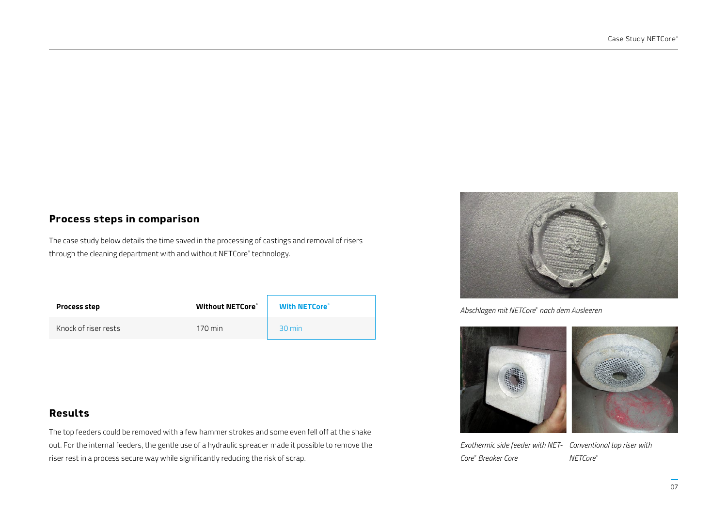# **Process steps in comparison**

The case study below details the time saved in the processing of castings and removal of risers through the cleaning department with and without NETCore® technology.

| <b>Process step</b>  | <b>Without NETCore®</b> | <b>With NETCore<sup>®</sup></b> |
|----------------------|-------------------------|---------------------------------|
| Knock of riser rests | $170 \,\mathrm{min}$    | 30 min                          |

# **Results**

The top feeders could be removed with a few hammer strokes and some even fell off at the shake out. For the internal feeders, the gentle use of a hydraulic spreader made it possible to remove the riser rest in a process secure way while significantly reducing the risk of scrap.



*Abschlagen mit NETCore*®  *nach dem Ausleeren*



*Exothermic side feeder with NET-Conventional top riser with Core*®  *Breaker Core NETCore*®